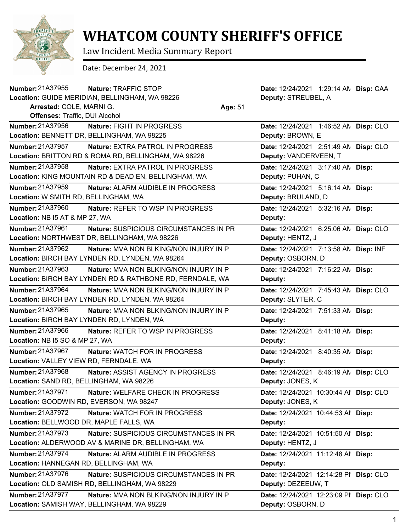

## **WHATCOM COUNTY SHERIFF'S OFFICE**

Law Incident Media Summary Report

Date: December 24, 2021

| Number: 21A37955                        | Nature: TRAFFIC STOP                                      |         | Date: 12/24/2021 1:29:14 AN Disp: CAA  |  |
|-----------------------------------------|-----------------------------------------------------------|---------|----------------------------------------|--|
|                                         | Location: GUIDE MERIDIAN, BELLINGHAM, WA 98226            |         | Deputy: STREUBEL, A                    |  |
| Arrested: COLE, MARNI G.                |                                                           | Age: 51 |                                        |  |
| Offenses: Traffic, DUI Alcohol          |                                                           |         |                                        |  |
| <b>Number: 21A37956</b>                 | Nature: FIGHT IN PROGRESS                                 |         | Date: 12/24/2021 1:46:52 AN Disp: CLO  |  |
|                                         | Location: BENNETT DR, BELLINGHAM, WA 98225                |         | Deputy: BROWN, E                       |  |
| Number: 21A37957                        | <b>Nature: EXTRA PATROL IN PROGRESS</b>                   |         | Date: 12/24/2021 2:51:49 AN Disp: CLO  |  |
|                                         | Location: BRITTON RD & ROMA RD, BELLINGHAM, WA 98226      |         | Deputy: VANDERVEEN, T                  |  |
| <b>Number: 21A37958</b>                 | Nature: EXTRA PATROL IN PROGRESS                          |         | Date: 12/24/2021 3:17:40 AN Disp:      |  |
|                                         | Location: KING MOUNTAIN RD & DEAD EN, BELLINGHAM, WA      |         | Deputy: PUHAN, C                       |  |
| Number: 21A37959                        | Nature: ALARM AUDIBLE IN PROGRESS                         |         | Date: 12/24/2021 5:16:14 AN Disp:      |  |
| Location: W SMITH RD, BELLINGHAM, WA    |                                                           |         | Deputy: BRULAND, D                     |  |
| Number: 21A37960                        | Nature: REFER TO WSP IN PROGRESS                          |         | Date: 12/24/2021 5:32:16 AN Disp:      |  |
| Location: NB I5 AT & MP 27, WA          |                                                           |         | Deputy:                                |  |
| Number: 21A37961                        | Nature: SUSPICIOUS CIRCUMSTANCES IN PR                    |         | Date: 12/24/2021 6:25:06 AN Disp: CLO  |  |
|                                         | Location: NORTHWEST DR, BELLINGHAM, WA 98226              |         | Deputy: HENTZ, J                       |  |
| Number: 21A37962                        | Nature: MVA NON BLKING/NON INJURY IN P                    |         | Date: 12/24/2021 7:13:58 AN Disp: INF  |  |
|                                         | Location: BIRCH BAY LYNDEN RD, LYNDEN, WA 98264           |         | Deputy: OSBORN, D                      |  |
| Number: 21A37963                        | <b>Nature: MVA NON BLKING/NON INJURY IN P</b>             |         | Date: 12/24/2021 7:16:22 AN Disp:      |  |
|                                         | Location: BIRCH BAY LYNDEN RD & RATHBONE RD, FERNDALE, WA |         | Deputy:                                |  |
| Number: 21A37964                        | Nature: MVA NON BLKING/NON INJURY IN P                    |         | Date: 12/24/2021 7:45:43 AN Disp: CLO  |  |
|                                         | Location: BIRCH BAY LYNDEN RD, LYNDEN, WA 98264           |         | Deputy: SLYTER, C                      |  |
| <b>Number: 21A37965</b>                 | <b>Nature: MVA NON BLKING/NON INJURY IN P</b>             |         | Date: 12/24/2021 7:51:33 AN Disp:      |  |
|                                         | Location: BIRCH BAY LYNDEN RD, LYNDEN, WA                 |         | Deputy:                                |  |
| Number: 21A37966                        | Nature: REFER TO WSP IN PROGRESS                          |         | Date: 12/24/2021 8:41:18 AM Disp:      |  |
| Location: NB I5 SO & MP 27, WA          |                                                           |         | Deputy:                                |  |
| <b>Number: 21A37967</b>                 | <b>Nature: WATCH FOR IN PROGRESS</b>                      |         | Date: 12/24/2021 8:40:35 AN Disp:      |  |
| Location: VALLEY VIEW RD, FERNDALE, WA  |                                                           |         | Deputy:                                |  |
| <b>Number: 21A37968</b>                 | Nature: ASSIST AGENCY IN PROGRESS                         |         | Date: 12/24/2021 8:46:19 AN Disp: CLO  |  |
| Location: SAND RD, BELLINGHAM, WA 98226 |                                                           |         | Deputy: JONES, K                       |  |
| Number: 21A37971                        | Nature: WELFARE CHECK IN PROGRESS                         |         | Date: 12/24/2021 10:30:44 Al Disp: CLO |  |
| Location: GOODWIN RD, EVERSON, WA 98247 |                                                           |         | Deputy: JONES, K                       |  |
| <b>Number: 21A37972</b>                 | Nature: WATCH FOR IN PROGRESS                             |         | Date: 12/24/2021 10:44:53 Al Disp:     |  |
| Location: BELLWOOD DR, MAPLE FALLS, WA  |                                                           |         | Deputy:                                |  |
| Number: 21A37973                        | Nature: SUSPICIOUS CIRCUMSTANCES IN PR                    |         | Date: 12/24/2021 10:51:50 Al Disp:     |  |
|                                         | Location: ALDERWOOD AV & MARINE DR, BELLINGHAM, WA        |         | Deputy: HENTZ, J                       |  |
| Number: 21A37974                        | Nature: ALARM AUDIBLE IN PROGRESS                         |         | Date: 12/24/2021 11:12:48 Al Disp:     |  |
| Location: HANNEGAN RD, BELLINGHAM, WA   |                                                           |         | Deputy:                                |  |
| Number: 21A37976                        | Nature: SUSPICIOUS CIRCUMSTANCES IN PR                    |         | Date: 12/24/2021 12:14:28 PI Disp: CLO |  |
|                                         | Location: OLD SAMISH RD, BELLINGHAM, WA 98229             |         | Deputy: DEZEEUW, T                     |  |
| Number: 21A37977                        | Nature: MVA NON BLKING/NON INJURY IN P                    |         | Date: 12/24/2021 12:23:09 PI Disp: CLO |  |
|                                         | Location: SAMISH WAY, BELLINGHAM, WA 98229                |         | Deputy: OSBORN, D                      |  |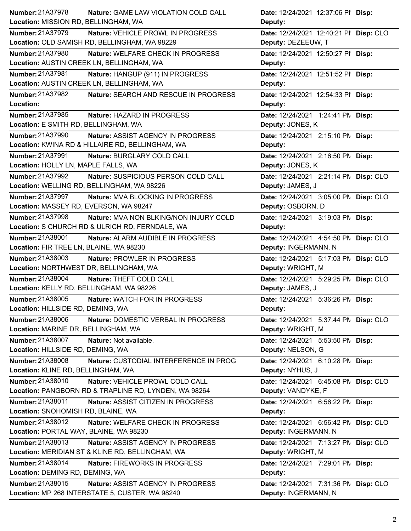| <b>Number: 21A37978</b>                   | Nature: GAME LAW VIOLATION COLD CALL                  | Date: 12/24/2021 12:37:06 PI Disp:     |
|-------------------------------------------|-------------------------------------------------------|----------------------------------------|
| Location: MISSION RD, BELLINGHAM, WA      |                                                       | Deputy:                                |
| <b>Number: 21A37979</b>                   | Nature: VEHICLE PROWL IN PROGRESS                     | Date: 12/24/2021 12:40:21 PI Disp: CLO |
|                                           | Location: OLD SAMISH RD, BELLINGHAM, WA 98229         | Deputy: DEZEEUW, T                     |
| Number: 21A37980                          | Nature: WELFARE CHECK IN PROGRESS                     | Date: 12/24/2021 12:50:27 PI Disp:     |
| Location: AUSTIN CREEK LN, BELLINGHAM, WA |                                                       | Deputy:                                |
| <b>Number: 21A37981</b>                   | Nature: HANGUP (911) IN PROGRESS                      | Date: 12/24/2021 12:51:52 PI Disp:     |
| Location: AUSTIN CREEK LN, BELLINGHAM, WA |                                                       | Deputy:                                |
| Number: 21A37982                          | Nature: SEARCH AND RESCUE IN PROGRESS                 | Date: 12/24/2021 12:54:33 PI Disp:     |
| Location:                                 |                                                       | Deputy:                                |
| Number: 21A37985                          | Nature: HAZARD IN PROGRESS                            | Date: 12/24/2021 1:24:41 PM Disp:      |
| Location: E SMITH RD, BELLINGHAM, WA      |                                                       | Deputy: JONES, K                       |
| Number: 21A37990                          | Nature: ASSIST AGENCY IN PROGRESS                     | Date: 12/24/2021 2:15:10 PM Disp:      |
|                                           | Location: KWINA RD & HILLAIRE RD, BELLINGHAM, WA      | Deputy:                                |
| Number: 21A37991                          | Nature: BURGLARY COLD CALL                            | Date: 12/24/2021 2:16:50 PM Disp:      |
| Location: HOLLY LN, MAPLE FALLS, WA       |                                                       | Deputy: JONES, K                       |
| Number: 21A37992                          | Nature: SUSPICIOUS PERSON COLD CALL                   | Date: 12/24/2021 2:21:14 PN Disp: CLO  |
|                                           | Location: WELLING RD, BELLINGHAM, WA 98226            | Deputy: JAMES, J                       |
| Number: 21A37997                          | Nature: MVA BLOCKING IN PROGRESS                      | Date: 12/24/2021 3:05:00 PM Disp: CLO  |
| Location: MASSEY RD, EVERSON, WA 98247    |                                                       | Deputy: OSBORN, D                      |
| Number: 21A37998                          | <b>Nature: MVA NON BLKING/NON INJURY COLD</b>         | Date: 12/24/2021 3:19:03 PM Disp:      |
|                                           | Location: S CHURCH RD & ULRICH RD, FERNDALE, WA       | Deputy:                                |
| Number: 21A38001                          | Nature: ALARM AUDIBLE IN PROGRESS                     | Date: 12/24/2021 4:54:50 PN Disp: CLO  |
| Location: FIR TREE LN, BLAINE, WA 98230   |                                                       | Deputy: INGERMANN, N                   |
| Number: 21A38003                          | Nature: PROWLER IN PROGRESS                           | Date: 12/24/2021 5:17:03 PN Disp: CLO  |
| Location: NORTHWEST DR, BELLINGHAM, WA    |                                                       | Deputy: WRIGHT, M                      |
| Number: 21A38004                          | Nature: THEFT COLD CALL                               | Date: 12/24/2021 5:29:25 PN Disp: CLO  |
| Location: KELLY RD, BELLINGHAM, WA 98226  |                                                       | Deputy: JAMES, J                       |
| Number: 21A38005                          | <b>Nature: WATCH FOR IN PROGRESS</b>                  | Date: 12/24/2021 5:36:26 PM Disp:      |
| Location: HILLSIDE RD, DEMING, WA         |                                                       | Deputy:                                |
| Number: 21A38006                          | <b>Nature: DOMESTIC VERBAL IN PROGRESS</b>            | Date: 12/24/2021 5:37:44 PM Disp: CLO  |
| Location: MARINE DR, BELLINGHAM, WA       |                                                       | Deputy: WRIGHT, M                      |
| Number: 21A38007                          | Nature: Not available.                                | Date: 12/24/2021 5:53:50 PM Disp:      |
| Location: HILLSIDE RD, DEMING, WA         |                                                       | Deputy: NELSON, G                      |
| Number: 21A38008                          | Nature: CUSTODIAL INTERFERENCE IN PROG                | Date: 12/24/2021 6:10:28 PM Disp:      |
| Location: KLINE RD, BELLINGHAM, WA        |                                                       | Deputy: NYHUS, J                       |
| Number: 21A38010                          | Nature: VEHICLE PROWL COLD CALL                       | Date: 12/24/2021 6:45:08 PN Disp: CLO  |
|                                           | Location: PANGBORN RD & TRAPLINE RD, LYNDEN, WA 98264 | Deputy: VANDYKE, F                     |
| Number: 21A38011                          | Nature: ASSIST CITIZEN IN PROGRESS                    | Date: 12/24/2021 6:56:22 PM Disp:      |
| Location: SNOHOMISH RD, BLAINE, WA        |                                                       | Deputy:                                |
| Number: 21A38012                          | Nature: WELFARE CHECK IN PROGRESS                     | Date: 12/24/2021 6:56:42 PN Disp: CLO  |
| Location: PORTAL WAY, BLAINE, WA 98230    |                                                       | Deputy: INGERMANN, N                   |
| Number: 21A38013                          | Nature: ASSIST AGENCY IN PROGRESS                     | Date: 12/24/2021 7:13:27 PM Disp: CLO  |
|                                           | Location: MERIDIAN ST & KLINE RD, BELLINGHAM, WA      | Deputy: WRIGHT, M                      |
| Number: 21A38014                          | Nature: FIREWORKS IN PROGRESS                         | Date: 12/24/2021 7:29:01 PM Disp:      |
| Location: DEMING RD, DEMING, WA           |                                                       | Deputy:                                |
| Number: 21A38015                          | Nature: ASSIST AGENCY IN PROGRESS                     | Date: 12/24/2021 7:31:36 PN Disp: CLO  |
|                                           | Location: MP 268 INTERSTATE 5, CUSTER, WA 98240       | Deputy: INGERMANN, N                   |